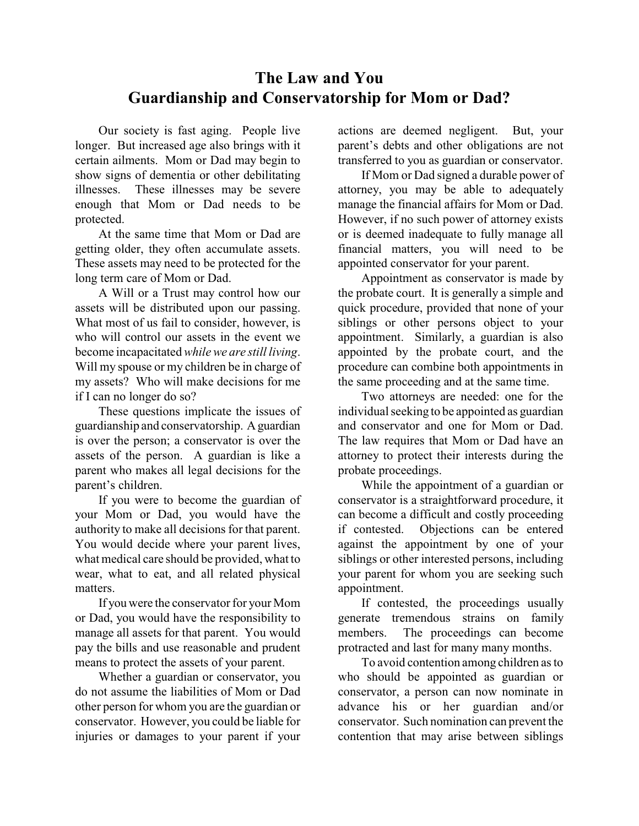## **The Law and You Guardianship and Conservatorship for Mom or Dad?**

Our society is fast aging. People live longer. But increased age also brings with it certain ailments. Mom or Dad may begin to show signs of dementia or other debilitating illnesses. These illnesses may be severe enough that Mom or Dad needs to be protected.

At the same time that Mom or Dad are getting older, they often accumulate assets. These assets may need to be protected for the long term care of Mom or Dad.

A Will or a Trust may control how our assets will be distributed upon our passing. What most of us fail to consider, however, is who will control our assets in the event we become incapacitated *while we are still living*. Will my spouse or my children be in charge of my assets? Who will make decisions for me if I can no longer do so?

These questions implicate the issues of guardianship and conservatorship. Aguardian is over the person; a conservator is over the assets of the person. A guardian is like a parent who makes all legal decisions for the parent's children.

If you were to become the guardian of your Mom or Dad, you would have the authority to make all decisions for that parent. You would decide where your parent lives, what medical care should be provided, what to wear, what to eat, and all related physical matters.

If you were the conservator for your Mom or Dad, you would have the responsibility to manage all assets for that parent. You would pay the bills and use reasonable and prudent means to protect the assets of your parent.

Whether a guardian or conservator, you do not assume the liabilities of Mom or Dad other person for whom you are the guardian or conservator. However, you could be liable for injuries or damages to your parent if your

actions are deemed negligent. But, your parent's debts and other obligations are not transferred to you as guardian or conservator.

If Mom or Dad signed a durable power of attorney, you may be able to adequately manage the financial affairs for Mom or Dad. However, if no such power of attorney exists or is deemed inadequate to fully manage all financial matters, you will need to be appointed conservator for your parent.

Appointment as conservator is made by the probate court. It is generally a simple and quick procedure, provided that none of your siblings or other persons object to your appointment. Similarly, a guardian is also appointed by the probate court, and the procedure can combine both appointments in the same proceeding and at the same time.

Two attorneys are needed: one for the individual seeking to be appointed as guardian and conservator and one for Mom or Dad. The law requires that Mom or Dad have an attorney to protect their interests during the probate proceedings.

While the appointment of a guardian or conservator is a straightforward procedure, it can become a difficult and costly proceeding if contested. Objections can be entered against the appointment by one of your siblings or other interested persons, including your parent for whom you are seeking such appointment.

If contested, the proceedings usually generate tremendous strains on family members. The proceedings can become protracted and last for many many months.

To avoid contention among children as to who should be appointed as guardian or conservator, a person can now nominate in advance his or her guardian and/or conservator. Such nomination can prevent the contention that may arise between siblings